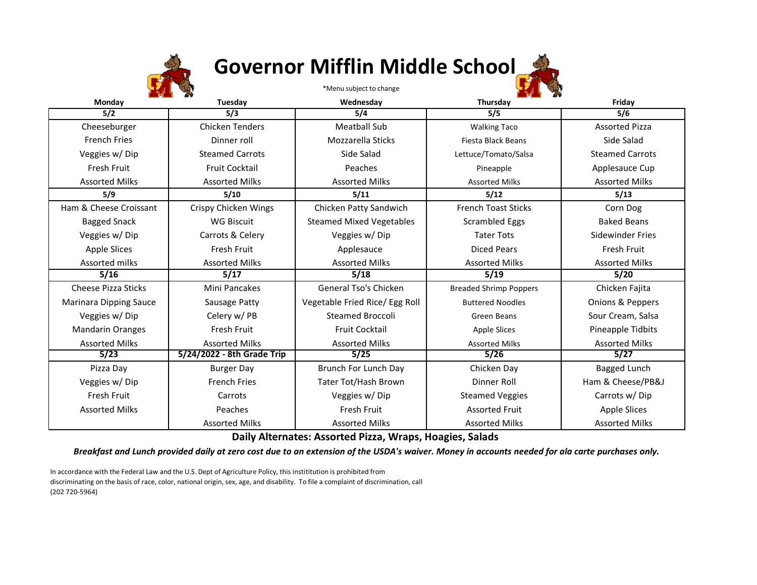

## **Governor Mifflin Middle School**



**Daily Alternates: Assorted Pizza, Wraps, Hoagies, Salads**

*Breakfast and Lunch provided daily at zero cost due to an extension of the USDA's waiver. Money in accounts needed for ala carte purchases only.*

In accordance with the Federal Law and the U.S. Dept of Agriculture Policy, this instititution is prohibited from discriminating on the basis of race, color, national origin, sex, age, and disability. To file a complaint of discrimination, call (202 720-5964)